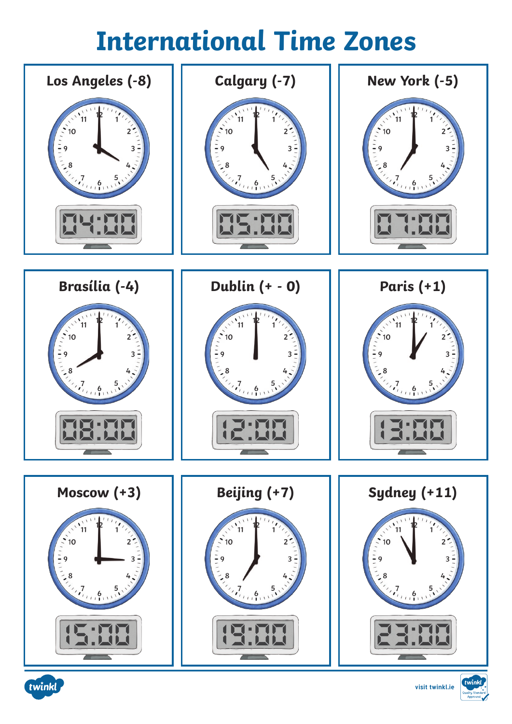# **International Time Zones**







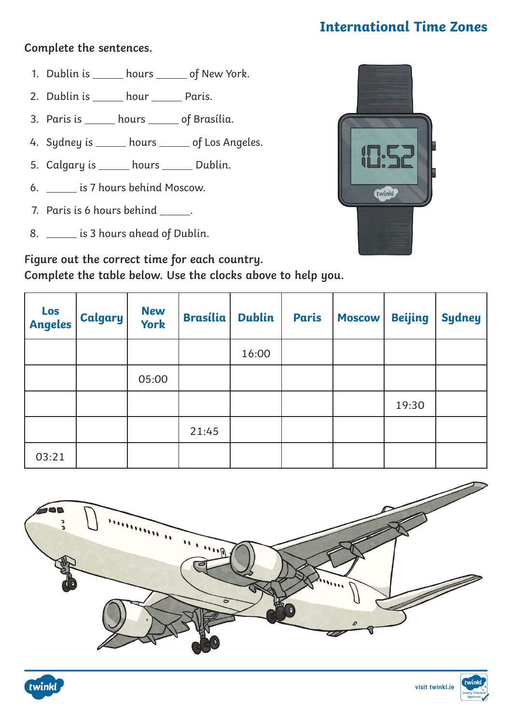## **International Time Zones**

#### **Complete the sentences.**

- 1. Dublin is \_\_\_\_\_\_ hours \_\_\_\_\_\_ of New York.
- 2. Dublin is \_\_\_\_\_\_ hour \_\_\_\_\_\_ Paris.
- 3. Paris is \_\_\_\_\_ hours \_\_\_\_\_ of Brasília.
- 4. Sydney is \_\_\_\_\_ hours \_\_\_\_\_ of Los Angeles.
- 5. Calgary is \_\_\_\_\_ hours \_\_\_\_\_ Dublin.
- 6. \_\_\_\_\_\_\_ is 7 hours behind Moscow.
- 7. Paris is 6 hours behind \_\_\_\_\_\_.
- 8. \_\_\_\_\_\_ is 3 hours ahead of Dublin.



| Figure out the correct time for each country.               |  |
|-------------------------------------------------------------|--|
| Complete the table below. Use the clocks above to help you. |  |

| Los<br><b>Angeles</b> | <b>Calgary</b> | <b>New</b><br><b>York</b> | <b>Brasília</b> | <b>Dublin</b> | <b>Paris</b> | <b>Moscow</b> | <b>Beijing</b> | <b>Sydney</b> |
|-----------------------|----------------|---------------------------|-----------------|---------------|--------------|---------------|----------------|---------------|
|                       |                |                           |                 | 16:00         |              |               |                |               |
|                       |                | 05:00                     |                 |               |              |               |                |               |
|                       |                |                           |                 |               |              |               | 19:30          |               |
|                       |                |                           | 21:45           |               |              |               |                |               |
| 03:21                 |                |                           |                 |               |              |               |                |               |